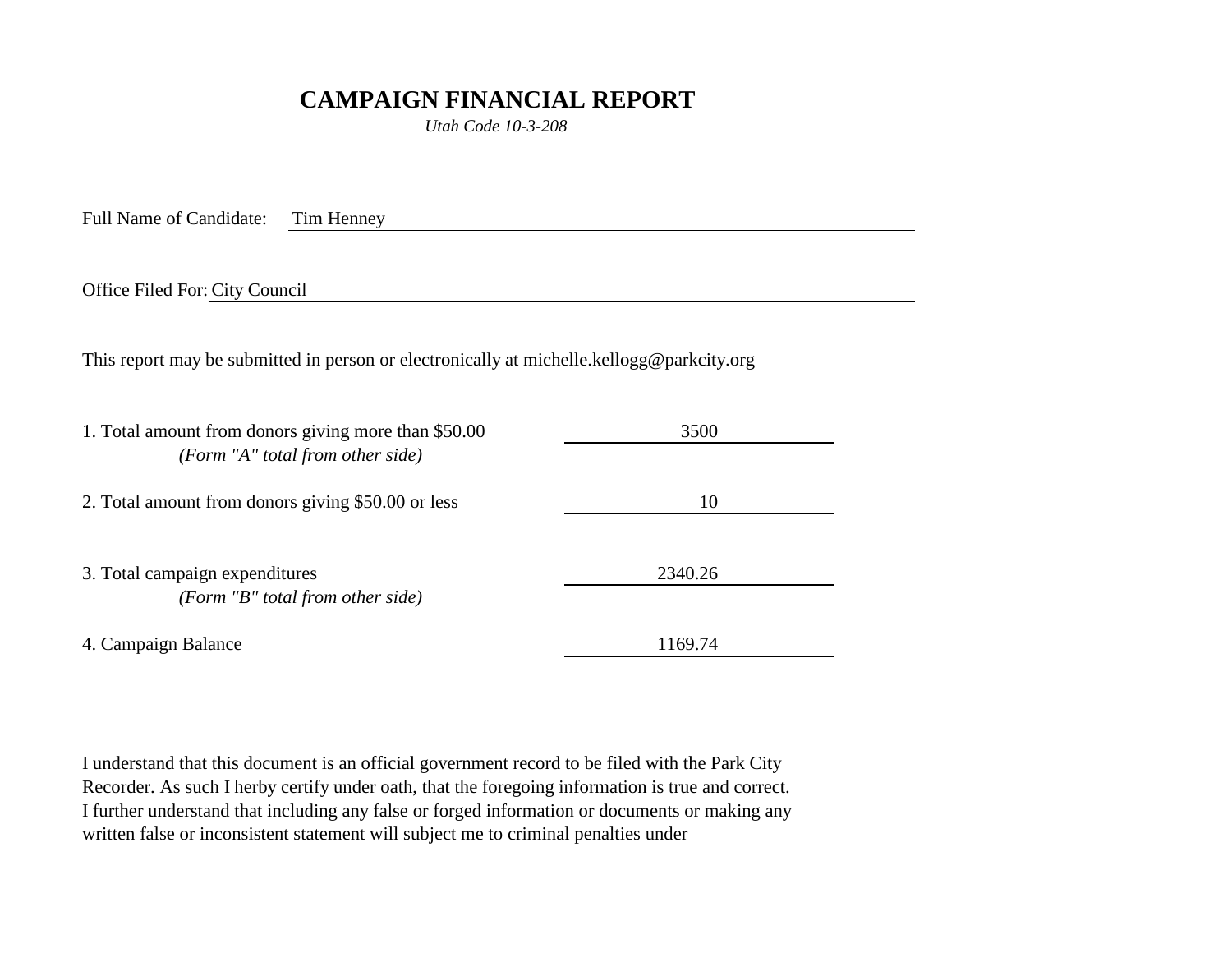## **CAMPAIGN FINANCIAL REPORT**

*Utah Code 10-3-208*

Full Name of Candidate: Tim Henney

Office Filed For: City Council

This report may be submitted in person or electronically at michelle.kellogg@parkcity.org

| 1. Total amount from donors giving more than \$50.00<br>(Form "A" total from other side) | 3500    |
|------------------------------------------------------------------------------------------|---------|
| 2. Total amount from donors giving \$50.00 or less                                       | 10      |
| 3. Total campaign expenditures<br>(Form "B" total from other side)                       | 2340.26 |
| 4. Campaign Balance                                                                      | 1169.74 |

I understand that this document is an official government record to be filed with the Park City Recorder. As such I herby certify under oath, that the foregoing information is true and correct. I further understand that including any false or forged information or documents or making any written false or inconsistent statement will subject me to criminal penalties under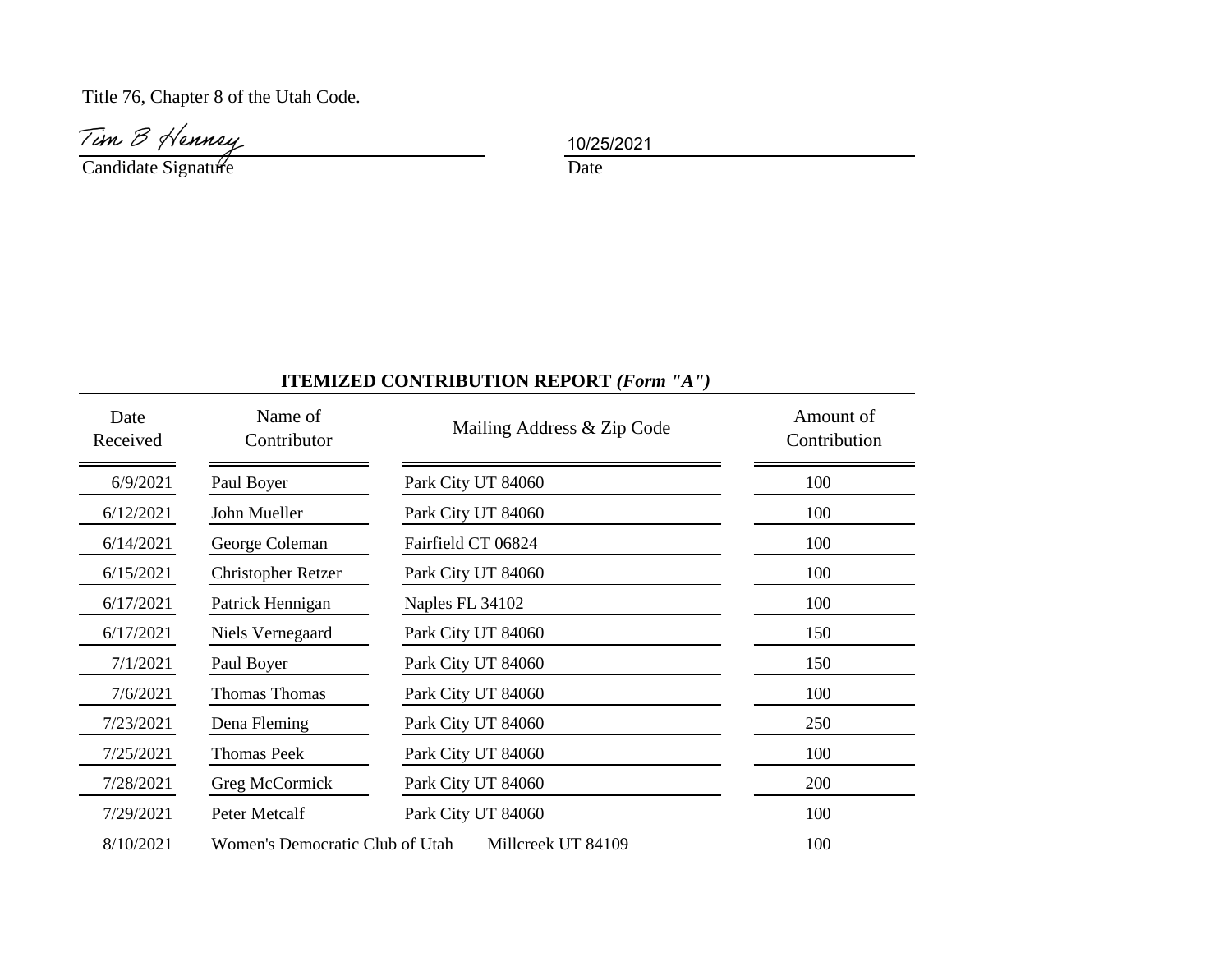Title 76, Chapter 8 of the Utah Code.

Tim B Henney<br>Candidate Signature Date

10/25/2021

## **ITEMIZED CONTRIBUTION REPORT** *(Form "A")*

| Date<br>Received | Name of<br>Contributor          | Mailing Address & Zip Code | Amount of<br>Contribution |
|------------------|---------------------------------|----------------------------|---------------------------|
| 6/9/2021         | Paul Boyer                      | Park City UT 84060         | 100                       |
| 6/12/2021        | John Mueller                    | Park City UT 84060         | 100                       |
| 6/14/2021        | George Coleman                  | Fairfield CT 06824         | 100                       |
| 6/15/2021        | <b>Christopher Retzer</b>       | Park City UT 84060         | 100                       |
| 6/17/2021        | Patrick Hennigan                | Naples FL 34102            | 100                       |
| 6/17/2021        | Niels Vernegaard                | Park City UT 84060         | 150                       |
| 7/1/2021         | Paul Boyer                      | Park City UT 84060         | 150                       |
| 7/6/2021         | <b>Thomas Thomas</b>            | Park City UT 84060         | 100                       |
| 7/23/2021        | Dena Fleming                    | Park City UT 84060         | 250                       |
| 7/25/2021        | <b>Thomas Peek</b>              | Park City UT 84060         | 100                       |
| 7/28/2021        | Greg McCormick                  | Park City UT 84060         | 200                       |
| 7/29/2021        | Peter Metcalf                   | Park City UT 84060         | 100                       |
| 8/10/2021        | Women's Democratic Club of Utah | Millcreek UT 84109         | 100                       |